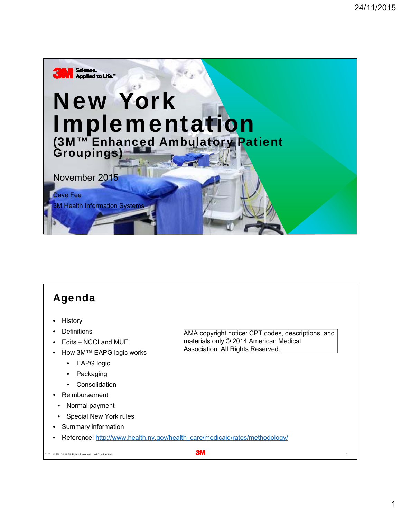

#### Agenda

- **History**
- **Definitions**
- Edits NCCI and MUE
- How 3M™ EAPG logic works
	- EAPG logic
	- Packaging
	- Consolidation
- Reimbursement
	- Normal payment
- **Special New York rules**
- Summary information
- Reference: http://www.health.ny.gov/health\_care/medicaid/rates/methodology/

 $\circ$  3M 2015 All Rights Reserved. 3M Confidential.  $\bullet$  3M  $\bullet$  3M  $\bullet$  3M  $\bullet$  3M  $\bullet$  3M  $\bullet$  3M  $\bullet$  3M  $\bullet$  3M  $\bullet$  3M  $\bullet$  3M  $\bullet$  3M  $\bullet$  3M  $\bullet$  3M  $\bullet$  3M  $\bullet$  3M  $\bullet$  3M  $\bullet$  3M  $\bullet$  3M  $\bullet$  3M  $\bullet$  3M  $\bullet$  3M  $\$ 

AMA copyright notice: CPT codes, descriptions, and

materials only © 2014 American Medical Association. All Rights Reserved.

1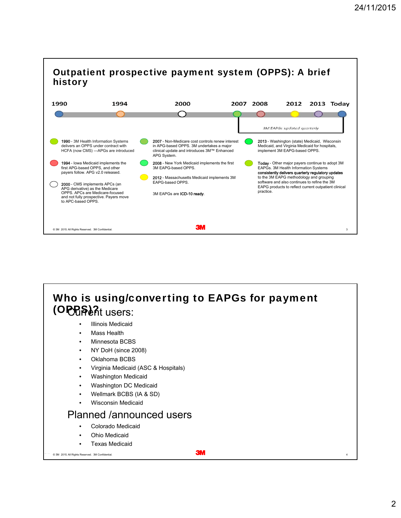

#### (OPPS)2t users: **Illinois Medicaid** Who is using/converting to EAPGs for payment

- 
- **Mass Health**
- Minnesota BCBS
- NY DoH (since 2008)
- Oklahoma BCBS
- Virginia Medicaid (ASC & Hospitals)
- Washington Medicaid
- Washington DC Medicaid
- Wellmark BCBS (IA & SD)
- Wisconsin Medicaid

#### Planned /announced users

- Colorado Medicaid
- Ohio Medicaid
- Texas Medicaid

#### 24 November 2015 © 3M 3M Confidential. . All Rights Reserved. 4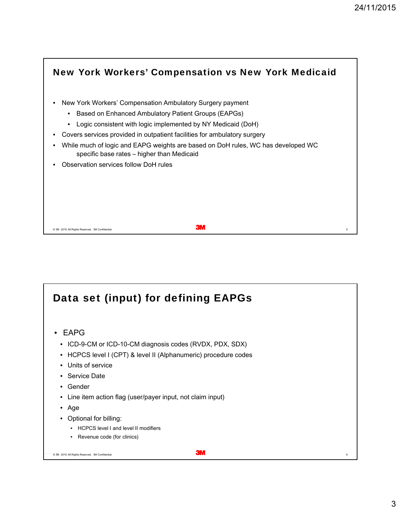

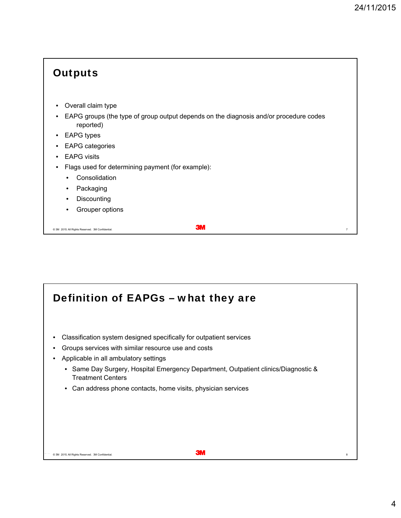| <b>Outputs</b>                                                                                                                |
|-------------------------------------------------------------------------------------------------------------------------------|
| Overall claim type<br>$\bullet$<br>EAPG groups (the type of group output depends on the diagnosis and/or procedure codes<br>٠ |
| reported)<br><b>EAPG</b> types<br>$\bullet$                                                                                   |
| <b>EAPG</b> categories<br><b>EAPG</b> visits<br>$\bullet$<br>Flags used for determining payment (for example):                |
| Consolidation<br>$\bullet$<br>Packaging<br>$\bullet$                                                                          |
| Discounting<br>٠<br>Grouper options<br>٠                                                                                      |
| ЗW<br>C 3M 2015. All Rights Reserved. 3M Confidential<br>$\overline{7}$                                                       |

# Definition of EAPGs – what they are

- Classification system designed specifically for outpatient services
- Groups services with similar resource use and costs
- Applicable in all ambulatory settings
	- Same Day Surgery, Hospital Emergency Department, Outpatient clinics/Diagnostic & Treatment Centers
	- Can address phone contacts, home visits, physician services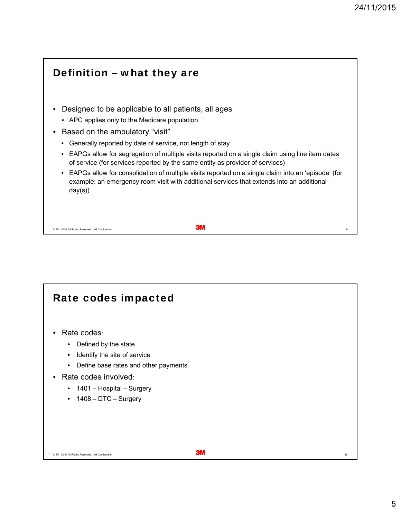٦

| Definition – what they are                                                                                                                                                                                                                                                                              |
|---------------------------------------------------------------------------------------------------------------------------------------------------------------------------------------------------------------------------------------------------------------------------------------------------------|
| Designed to be applicable to all patients, all ages<br>• APC applies only to the Medicare population<br>Based on the ambulatory "visit"<br>Generally reported by date of service, not length of stay<br>EAPGs allow for segregation of multiple visits reported on a single claim using line item dates |
| of service (for services reported by the same entity as provider of services)<br>EAPGs allow for consolidation of multiple visits reported on a single claim into an 'episode' (for<br>٠<br>example: an emergency room visit with additional services that extends into an additional<br>day(s))        |
| C 3M 2015. All Rights Reserved. 3M Confidential                                                                                                                                                                                                                                                         |

## Rate codes impacted • Rate codes: • Defined by the state • Identify the site of service • Define base rates and other payments • Rate codes involved: • 1401 – Hospital – Surgery • 1408 – DTC – Surgery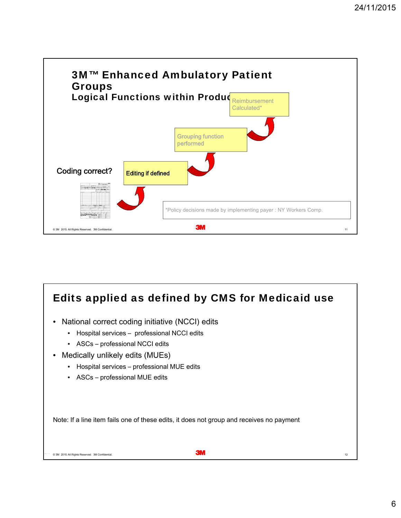

## 24 November 2015 © 3M 3M Confidential. . All Rights Reserved. 12 Edits applied as defined by CMS for Medicaid use • National correct coding initiative (NCCI) edits • Hospital services – professional NCCI edits • ASCs – professional NCCI edits • Medically unlikely edits (MUEs) • Hospital services – professional MUE edits • ASCs – professional MUE edits Note: If a line item fails one of these edits, it does not group and receives no payment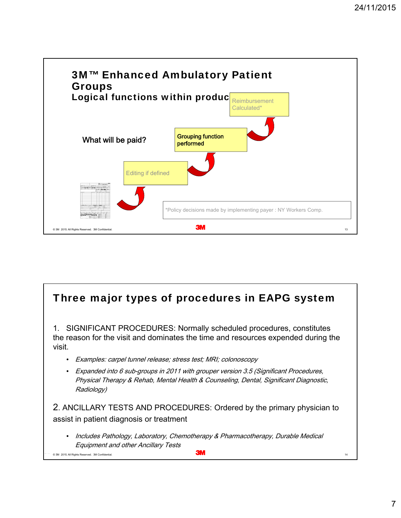

#### 24 November 2015 © 3M 3M Confidential. . All Rights Reserved. 14 Three major types of procedures in EAPG system 1. SIGNIFICANT PROCEDURES: Normally scheduled procedures, constitutes the reason for the visit and dominates the time and resources expended during the visit. • Examples: carpel tunnel release; stress test; MRI; colonoscopy • Expanded into 6 sub-groups in 2011 with grouper version 3.5 (Significant Procedures, Physical Therapy & Rehab, Mental Health & Counseling, Dental, Significant Diagnostic, Radiology) 2. ANCILLARY TESTS AND PROCEDURES: Ordered by the primary physician to assist in patient diagnosis or treatment • Includes Pathology, Laboratory, Chemotherapy & Pharmacotherapy, Durable Medical Equipment and other Ancillary Tests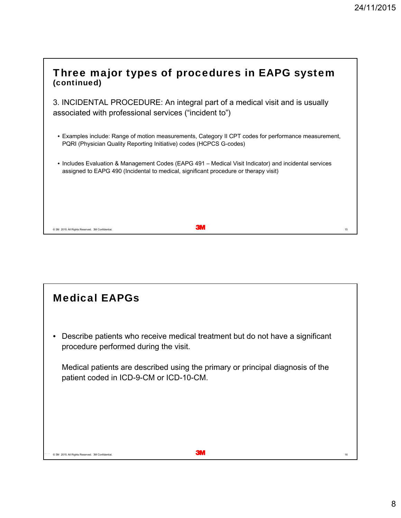| Three major types of procedures in EAPG system<br>(continued)                                                                                                                                 |    |
|-----------------------------------------------------------------------------------------------------------------------------------------------------------------------------------------------|----|
| 3. INCIDENTAL PROCEDURE: An integral part of a medical visit and is usually<br>associated with professional services ("incident to")                                                          |    |
| • Examples include: Range of motion measurements, Category II CPT codes for performance measurement,<br>PQRI (Physician Quality Reporting Initiative) codes (HCPCS G-codes)                   |    |
| • Includes Evaluation & Management Codes (EAPG 491 – Medical Visit Indicator) and incidental services<br>assigned to EAPG 490 (Incidental to medical, significant procedure or therapy visit) |    |
|                                                                                                                                                                                               |    |
| ЗW<br>© 3M 2015. All Rights Reserved. 3M Confidential                                                                                                                                         | 15 |

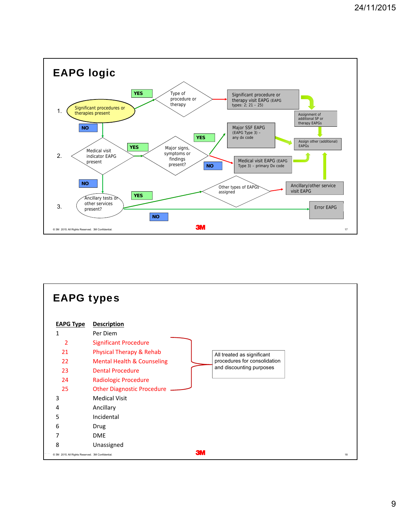

| <b>EAPG types</b>                                |                                                                                                                                 |    |
|--------------------------------------------------|---------------------------------------------------------------------------------------------------------------------------------|----|
| <b>EAPG Type</b><br>1                            | <b>Description</b><br>Per Diem                                                                                                  |    |
| 2<br>21                                          | <b>Significant Procedure</b><br>Physical Therapy & Rehab                                                                        |    |
| 22                                               | All treated as significant<br>procedures for consolidation<br><b>Mental Health &amp; Counseling</b><br>and discounting purposes |    |
| 23<br>24                                         | <b>Dental Procedure</b><br><b>Radiologic Procedure</b>                                                                          |    |
| 25                                               | <b>Other Diagnostic Procedure</b>                                                                                               |    |
| 3                                                | <b>Medical Visit</b>                                                                                                            |    |
| 4                                                | Ancillary                                                                                                                       |    |
| 5                                                | Incidental                                                                                                                      |    |
| 6                                                | Drug                                                                                                                            |    |
| 7                                                | <b>DME</b>                                                                                                                      |    |
| 8                                                | Unassigned                                                                                                                      |    |
| C 3M 2015. All Rights Reserved. 3M Confidential. | <b>3M</b>                                                                                                                       | 18 |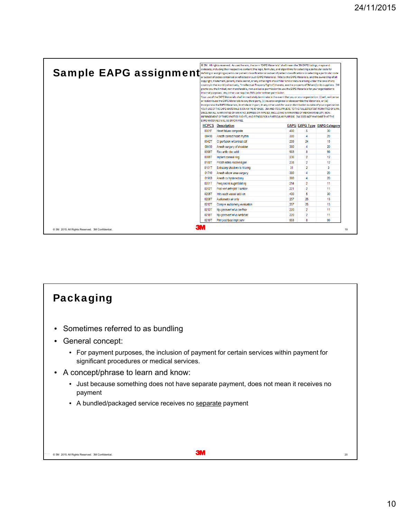| <b>Sample EAPG assignment</b>                   |       | © 3M. All rights reserved. As used herein, the term "EAPG Materials" shall mean the 3M EAPG listings, maps and<br>codesets, including their respective content (the logic, formulas, and algorithms for selecting a particular code for<br>defining or assigning a particular patient classification or subset of patient classifications or selecting a particular code<br>or subset of codes contained or reflected in such EAPG Materials). Title to the EAPG Materials, and the ownership of all<br>copyright, trademark, patent, trade secret, or any other right of a similar kind or nature arising under the laws of any<br>country in the world (collectively, "Intellectual Property Rights") thereto, are the property of 3M and/or its suppliers. 3M<br>grants you the limited, non-transferable, non-exclusive permission to use the EAPG Materials for your organization's<br>internal purposes. Any other use requires 3M's prior written permission.<br>Your use of the EAPG Materials shall immediately terminate in the event that you or your organization: (i) sell, re-license<br>or redistribute the EAPG Materials to any third party, (ii) reverse-engineer or disassemble the Materials, or (iii)<br>incorporate the EAPG Materials, in whole or in part, in any other work for use or distribution outside of your organization.<br>YOUR USE OF THE EAPG MATERIALS IS ON AN "AS IS" BASIS. 3M AND ITS SUPPLIERS, TO THE FULLEST EXTENT PERMITTED BY LAW,<br>DISCLAIM ALL WARRANTIES OF ANY KIND, EXPRESS OR IMPLIED, INCLUDING WARRANTIES OF MERCHANTABILITY, NON-<br>INFRINGEMENT OF THIRD PARTIES' RIGHTS, AND FITNESS FOR A PARTICULAR PURPOSE. 3M DOES NOT WARRANT THAT THE<br>EAPG MATERIALS WILL BE ERROR-FREE. |     |                |                                     |
|-------------------------------------------------|-------|-------------------------------------------------------------------------------------------------------------------------------------------------------------------------------------------------------------------------------------------------------------------------------------------------------------------------------------------------------------------------------------------------------------------------------------------------------------------------------------------------------------------------------------------------------------------------------------------------------------------------------------------------------------------------------------------------------------------------------------------------------------------------------------------------------------------------------------------------------------------------------------------------------------------------------------------------------------------------------------------------------------------------------------------------------------------------------------------------------------------------------------------------------------------------------------------------------------------------------------------------------------------------------------------------------------------------------------------------------------------------------------------------------------------------------------------------------------------------------------------------------------------------------------------------------------------------------------------------------------------------------------------------------------------------------------------------------------------------------------------------|-----|----------------|-------------------------------------|
|                                                 |       | <b>HCPCS</b> Description                                                                                                                                                                                                                                                                                                                                                                                                                                                                                                                                                                                                                                                                                                                                                                                                                                                                                                                                                                                                                                                                                                                                                                                                                                                                                                                                                                                                                                                                                                                                                                                                                                                                                                                        |     |                | <b>EAPG EAPG Type EAPG Category</b> |
|                                                 | 0001F | Heart failure composite                                                                                                                                                                                                                                                                                                                                                                                                                                                                                                                                                                                                                                                                                                                                                                                                                                                                                                                                                                                                                                                                                                                                                                                                                                                                                                                                                                                                                                                                                                                                                                                                                                                                                                                         | 490 | 5              | 30                                  |
|                                                 | 00410 | Anesth correct heart rhythm                                                                                                                                                                                                                                                                                                                                                                                                                                                                                                                                                                                                                                                                                                                                                                                                                                                                                                                                                                                                                                                                                                                                                                                                                                                                                                                                                                                                                                                                                                                                                                                                                                                                                                                     | 380 | 4              | 20                                  |
|                                                 | 0042T | Ct perfusion w/contrast cbf                                                                                                                                                                                                                                                                                                                                                                                                                                                                                                                                                                                                                                                                                                                                                                                                                                                                                                                                                                                                                                                                                                                                                                                                                                                                                                                                                                                                                                                                                                                                                                                                                                                                                                                     | 299 | 24             | 15                                  |
|                                                 | 00450 | Anesth surgery of shoulder                                                                                                                                                                                                                                                                                                                                                                                                                                                                                                                                                                                                                                                                                                                                                                                                                                                                                                                                                                                                                                                                                                                                                                                                                                                                                                                                                                                                                                                                                                                                                                                                                                                                                                                      | 380 | 4              | 20                                  |
|                                                 | 00987 | Rev artific disc addl                                                                                                                                                                                                                                                                                                                                                                                                                                                                                                                                                                                                                                                                                                                                                                                                                                                                                                                                                                                                                                                                                                                                                                                                                                                                                                                                                                                                                                                                                                                                                                                                                                                                                                                           | 993 | 8              | 99                                  |
|                                                 | 00997 | Implant corneal ring                                                                                                                                                                                                                                                                                                                                                                                                                                                                                                                                                                                                                                                                                                                                                                                                                                                                                                                                                                                                                                                                                                                                                                                                                                                                                                                                                                                                                                                                                                                                                                                                                                                                                                                            | 236 | $\overline{2}$ | 12                                  |
|                                                 | 0100T | Prosth retina receive&gen                                                                                                                                                                                                                                                                                                                                                                                                                                                                                                                                                                                                                                                                                                                                                                                                                                                                                                                                                                                                                                                                                                                                                                                                                                                                                                                                                                                                                                                                                                                                                                                                                                                                                                                       | 238 | $\overline{2}$ | 12                                  |
|                                                 | 01011 | Extracorp shockwy tx hi enrq                                                                                                                                                                                                                                                                                                                                                                                                                                                                                                                                                                                                                                                                                                                                                                                                                                                                                                                                                                                                                                                                                                                                                                                                                                                                                                                                                                                                                                                                                                                                                                                                                                                                                                                    | 31  | $\overline{2}$ | 3                                   |
|                                                 | 01710 | Anesth elbow area surgery                                                                                                                                                                                                                                                                                                                                                                                                                                                                                                                                                                                                                                                                                                                                                                                                                                                                                                                                                                                                                                                                                                                                                                                                                                                                                                                                                                                                                                                                                                                                                                                                                                                                                                                       | 380 | 4              | 20                                  |
|                                                 | 01963 | Anesth cs hysterectomy                                                                                                                                                                                                                                                                                                                                                                                                                                                                                                                                                                                                                                                                                                                                                                                                                                                                                                                                                                                                                                                                                                                                                                                                                                                                                                                                                                                                                                                                                                                                                                                                                                                                                                                          | 380 | 4              | 20                                  |
|                                                 | 0201T | Perg sacral augmt bilat inj                                                                                                                                                                                                                                                                                                                                                                                                                                                                                                                                                                                                                                                                                                                                                                                                                                                                                                                                                                                                                                                                                                                                                                                                                                                                                                                                                                                                                                                                                                                                                                                                                                                                                                                     | 214 | $\overline{2}$ | 11                                  |
|                                                 | 02021 | Post vert arthrplst 1 lumbar                                                                                                                                                                                                                                                                                                                                                                                                                                                                                                                                                                                                                                                                                                                                                                                                                                                                                                                                                                                                                                                                                                                                                                                                                                                                                                                                                                                                                                                                                                                                                                                                                                                                                                                    | 221 | $\overline{2}$ | 11                                  |
|                                                 | 02051 | Inirs each vessel add-on                                                                                                                                                                                                                                                                                                                                                                                                                                                                                                                                                                                                                                                                                                                                                                                                                                                                                                                                                                                                                                                                                                                                                                                                                                                                                                                                                                                                                                                                                                                                                                                                                                                                                                                        | 490 | 5              | 30                                  |
|                                                 | 02087 | Audiometry air only                                                                                                                                                                                                                                                                                                                                                                                                                                                                                                                                                                                                                                                                                                                                                                                                                                                                                                                                                                                                                                                                                                                                                                                                                                                                                                                                                                                                                                                                                                                                                                                                                                                                                                                             | 257 | 25             | 13                                  |
|                                                 | 0212T | Compre audiometry evaluation                                                                                                                                                                                                                                                                                                                                                                                                                                                                                                                                                                                                                                                                                                                                                                                                                                                                                                                                                                                                                                                                                                                                                                                                                                                                                                                                                                                                                                                                                                                                                                                                                                                                                                                    | 257 | 25             | 13                                  |
|                                                 | 0213T | Nix paravert w/us cer/thor                                                                                                                                                                                                                                                                                                                                                                                                                                                                                                                                                                                                                                                                                                                                                                                                                                                                                                                                                                                                                                                                                                                                                                                                                                                                                                                                                                                                                                                                                                                                                                                                                                                                                                                      | 220 | $\overline{2}$ | 11                                  |
|                                                 | 0218T | Nix paravert w/us lumb/sac                                                                                                                                                                                                                                                                                                                                                                                                                                                                                                                                                                                                                                                                                                                                                                                                                                                                                                                                                                                                                                                                                                                                                                                                                                                                                                                                                                                                                                                                                                                                                                                                                                                                                                                      | 220 | $\overline{2}$ | 11                                  |
|                                                 | 0219T | Pimt post facet implt cerv                                                                                                                                                                                                                                                                                                                                                                                                                                                                                                                                                                                                                                                                                                                                                                                                                                                                                                                                                                                                                                                                                                                                                                                                                                                                                                                                                                                                                                                                                                                                                                                                                                                                                                                      | 993 | $\mathbf{R}$   | 99                                  |
| © 3M 2015. All Rights Reserved. 3M Confidential | зм    |                                                                                                                                                                                                                                                                                                                                                                                                                                                                                                                                                                                                                                                                                                                                                                                                                                                                                                                                                                                                                                                                                                                                                                                                                                                                                                                                                                                                                                                                                                                                                                                                                                                                                                                                                 |     |                | 19                                  |

### 24 November 2015 © 3M 3M Confidential. . All Rights Reserved. 20 Packaging • Sometimes referred to as bundling • General concept: • For payment purposes, the inclusion of payment for certain services within payment for significant procedures or medical services. • A concept/phrase to learn and know: • Just because something does not have separate payment, does not mean it receives no payment • A bundled/packaged service receives no separate payment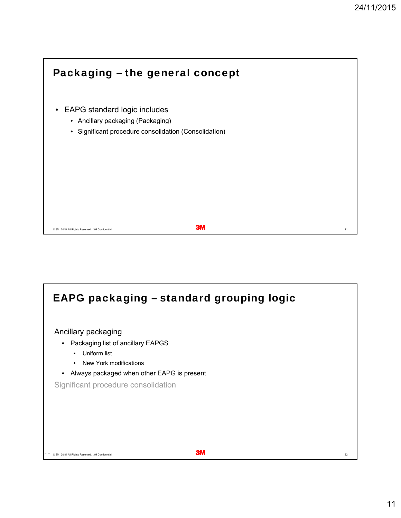

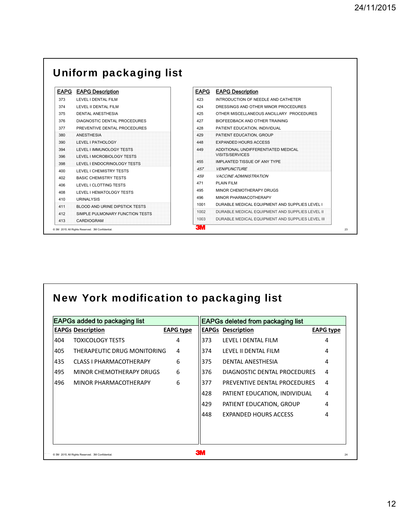| <b>EAPG</b> | <b>EAPG Description</b>         | <b>EAPG</b> | <b>EAPG Description</b>                          |
|-------------|---------------------------------|-------------|--------------------------------------------------|
| 373         | LEVEL I DENTAL FILM             | 423         | INTRODUCTION OF NEEDLE AND CATHETER              |
| 374         | LEVEL II DENTAL FILM            | 424         | DRESSINGS AND OTHER MINOR PROCEDURES             |
| 375         | DENTAL ANESTHESIA               | 425         | OTHER MISCELLANEOUS ANCILLARY PROCEDURES         |
| 376         | DIAGNOSTIC DENTAL PROCEDURES    | 427         | BIOFEEDBACK AND OTHER TRAINING                   |
| 377         | PREVENTIVE DENTAL PROCEDURES    | 428         | PATIENT EDUCATION. INDIVIDUAL                    |
| 380         | <b>ANESTHESIA</b>               | 429         | PATIENT EDUCATION, GROUP                         |
| 390         | LEVEL I PATHOLOGY               | 448         | <b>EXPANDED HOURS ACCESS</b>                     |
| 394         | LEVEL I IMMUNOLOGY TESTS        | 449         | ADDITIONAL UNDIFFERENTIATED MEDICAL              |
| 396         | LEVEL I MICROBIOLOGY TESTS      |             | <b>VISITS/SERVICES</b>                           |
| 398         | LEVEL I ENDOCRINOLOGY TESTS     | 455         | IMPLANTED TISSUE OF ANY TYPE                     |
| 400         | LEVEL I CHEMISTRY TESTS         | 457         | <b>VENIPUNCTURE</b>                              |
| 402         | <b>BASIC CHEMISTRY TESTS</b>    | 459         | <b>VACCINE ADMINISTRATION</b>                    |
| 406         | LEVEL I CLOTTING TESTS          | 471         | <b>PLAIN FILM</b>                                |
| 408         | LEVEL I HEMATOLOGY TESTS        | 495         | MINOR CHEMOTHERAPY DRUGS                         |
| 410         | <b>URINALYSIS</b>               | 496         | MINOR PHARMACOTHERAPY                            |
| 411         | BLOOD AND URINE DIPSTICK TESTS  | 1001        | DURABLE MEDICAL EQUIPMENT AND SUPPLIES LEVEL I   |
| 412         | SIMPLE PULMONARY FUNCTION TESTS | 1002        | DURABLE MEDICAL EQUIPMENT AND SUPPLIES LEVEL II  |
| 413         | CARDIOGRAM                      | 1003        | DURABLE MEDICAL EQUIPMENT AND SUPPLIES LEVEL III |

### New York modification to packaging list

|     | <b>EAPGs added to packaging list</b> |                  |     | <b>EAPGs deleted from packaging list</b> |                  |
|-----|--------------------------------------|------------------|-----|------------------------------------------|------------------|
|     | <b>EAPGs Description</b>             | <b>EAPG type</b> |     | <b>EAPGs Description</b>                 | <b>EAPG type</b> |
| 404 | <b>TOXICOLOGY TESTS</b>              | 4                | 373 | LEVEL I DENTAL FILM                      | 4                |
| 405 | THERAPEUTIC DRUG MONITORING          | 4                | 374 | LEVEL II DENTAL FILM                     | 4                |
| 435 | CLASS I PHARMACOTHERAPY              | 6                | 375 | DENTAL ANESTHESIA                        | 4                |
| 495 | MINOR CHEMOTHERAPY DRUGS             | 6                | 376 | DIAGNOSTIC DENTAL PROCEDURES             | 4                |
| 496 | MINOR PHARMACOTHERAPY                | 6                | 377 | PREVENTIVE DENTAL PROCEDURES             | 4                |
|     |                                      |                  | 428 | PATIENT EDUCATION, INDIVIDUAL            | 4                |
|     |                                      |                  | 429 | PATIENT EDUCATION, GROUP                 | 4                |
|     |                                      |                  | 448 | <b>EXPANDED HOURS ACCESS</b>             | 4                |
|     |                                      |                  |     |                                          |                  |
|     |                                      |                  |     |                                          |                  |
|     |                                      |                  |     |                                          |                  |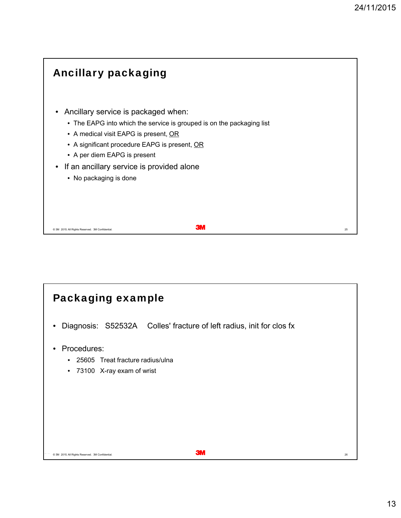

## 24 November 2015 © 3M 3M Confidential. . All Rights Reserved. 26 Packaging example • Diagnosis: S52532A Colles' fracture of left radius, init for clos fx • Procedures: • 25605 Treat fracture radius/ulna • 73100 X-ray exam of wrist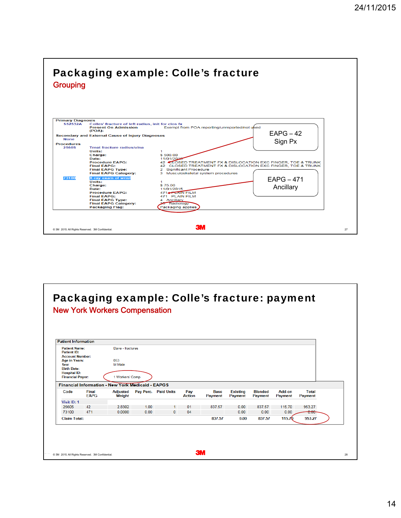

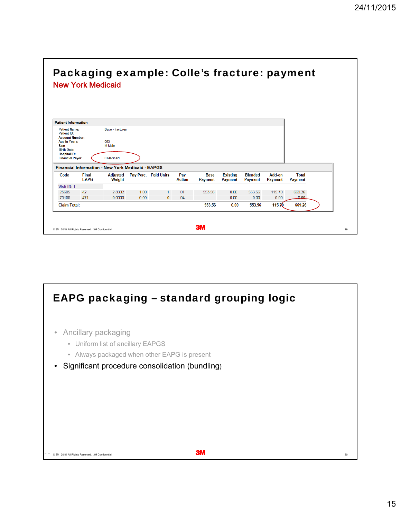|                                                                                                                                                                              | <b>New York Medicaid</b> | Packaging example: Colle's fracture: payment                                |      |                      |               |                |                 |                |                |              |  |
|------------------------------------------------------------------------------------------------------------------------------------------------------------------------------|--------------------------|-----------------------------------------------------------------------------|------|----------------------|---------------|----------------|-----------------|----------------|----------------|--------------|--|
| <b>Patient Information</b>                                                                                                                                                   |                          |                                                                             |      |                      |               |                |                 |                |                |              |  |
| <b>Patient Name:</b><br><b>Patient ID:</b><br><b>Account Number:</b><br><b>Age in Years:</b><br>Sex:<br><b>Birth Date:</b><br><b>Hospital ID:</b><br><b>Financial Payer:</b> |                          | Dave - fractures<br>053<br>M Male<br>0 Medicaid                             |      |                      |               |                |                 |                |                |              |  |
| Code                                                                                                                                                                         | <b>Final</b>             | <b>Financial Information - New York Medicaid - EAPGS</b><br><b>Adjusted</b> |      | Pay Perc. Paid Units | Pay           | <b>Base</b>    | <b>Existing</b> | <b>Blended</b> | Add-on         | <b>Total</b> |  |
|                                                                                                                                                                              | <b>EAPG</b>              | Weight                                                                      |      |                      | <b>Action</b> | <b>Payment</b> | Payment         | <b>Payment</b> | <b>Payment</b> | Payment      |  |
|                                                                                                                                                                              |                          |                                                                             |      |                      |               |                |                 |                |                |              |  |
| Visit ID: 1                                                                                                                                                                  | 42                       | 28302                                                                       | 100  |                      | 01            | 553 56         | 0.00            | 553.56         | 115.70         | 669.26       |  |
| 25605                                                                                                                                                                        |                          |                                                                             |      |                      |               |                | 0.00            | 0.00           | 0.00           | 0.00         |  |
| 73100                                                                                                                                                                        | 471                      | 0.0000                                                                      | 0.00 | $\mathbf{0}$         | 04            |                |                 |                |                |              |  |

#### EAPG packaging – standard grouping logic

- Ancillary packaging
	- Uniform list of ancillary EAPGS
	- Always packaged when other EAPG is present
- Significant procedure consolidation (bundling)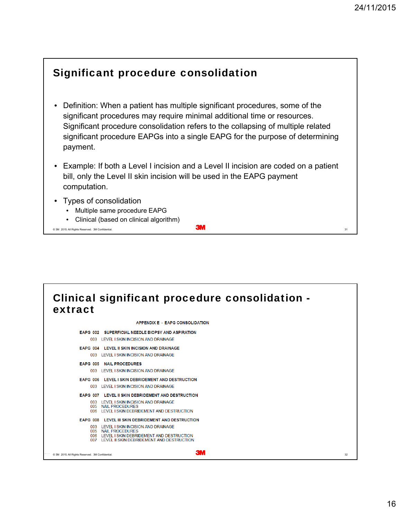#### Significant procedure consolidation

- Definition: When a patient has multiple significant procedures, some of the significant procedures may require minimal additional time or resources. Significant procedure consolidation refers to the collapsing of multiple related significant procedure EAPGs into a single EAPG for the purpose of determining payment.
- Example: If both a Level I incision and a Level II incision are coded on a patient bill, only the Level II skin incision will be used in the EAPG payment computation.
- Types of consolidation
	- Multiple same procedure EAPG
	- Clinical (based on clinical algorithm)

24 November 2015 © 3M 3M Confidential. . All Rights Reserved. 31

#### Clinical significant procedure consolidation extract**APPENDIX E - EAPG CONSOLIDATION** EAPG 002 SUPERFICIAL NEEDLE BIOPSY AND ASPIRATION 003 LEVEL I SKIN INCISION AND DRAINAGE FARG 004 LEVEL II SKIN INCISION AND DRAINAGE 003 I EVEL I SKIN INCISION AND DRAINAGE EAPG 005 NAIL PROCEDURES 003 LEVEL LSKIN INCISION AND DRAINAGE EAPG 006 LEVEL I SKIN DEBRIDEMENT AND DESTRUCTION 003 LEVEL I SKIN INCISION AND DRAINAGE EAPG 007 LEVEL II SKIN DEBRIDEMENT AND DESTRUCTION 003 LEVEL I SKIN INCISION AND DRAINAGE<br>005 NAIL PROCEDURES 006 LEVEL I SKIN DEBRIDEMENT AND DESTRUCTION EAPG 008 LEVEL III SKIN DEBRIDEMENT AND DESTRUCTION 003 LEVEL I SKIN INCISION AND DRAINAGE 005 NAIL PROCEDURES 006 LEVEL I SKIN DEBRIDEMENT AND DESTRUCTION<br>007 LEVEL I SKIN DEBRIDEMENT AND DESTRUCTION 24 November 2015 © 3M 3M Confidential. . All Rights Reserved. 32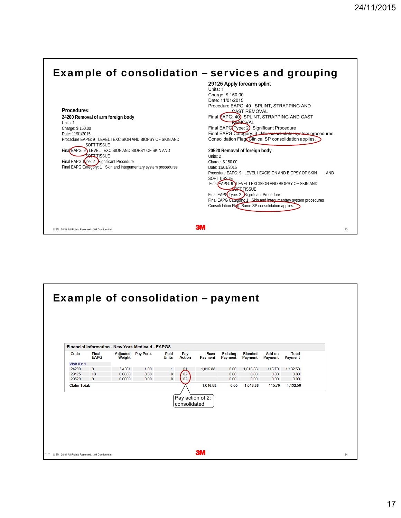

| <b>Final</b><br><b>Adjusted</b><br>Pay Perc.<br>Pay<br><b>Base</b><br><b>Existing</b><br><b>Blended</b><br>Add-on<br><b>Total</b><br>Code<br>Paid<br><b>EAPG</b><br><b>Weight</b><br><b>Action</b><br><b>Payment</b><br><b>Units</b><br>Payment<br><b>Payment</b><br><b>Payment</b><br><b>Payment</b><br>24200<br>9<br>1.00<br>3.4361<br>1,016.88<br>0.00<br>1,016.88<br>115.70<br>1,132.58<br>1<br>щ<br>02<br>$\mathbf 0$<br>29125<br>0.00<br>0.00<br>0.00<br>40<br>0.0000<br>0.00<br>0.00<br>$\mathbf{0}$<br>20520<br>9<br>0.00<br>0.0000<br>0.00<br>02<br>0.00<br>0.00<br>0.00<br>1.016.88<br>1.132.58<br>0.00<br>1.016.88<br>115.70<br>Pay action of 2:<br>consolidated | <b>Example of consolidation - payment</b><br><b>Financial Information - New York Medicaid - EAPGS</b><br>Visit ID: 1<br><b>Claim Total:</b> |  |  |  |  |  |  |
|-----------------------------------------------------------------------------------------------------------------------------------------------------------------------------------------------------------------------------------------------------------------------------------------------------------------------------------------------------------------------------------------------------------------------------------------------------------------------------------------------------------------------------------------------------------------------------------------------------------------------------------------------------------------------------|---------------------------------------------------------------------------------------------------------------------------------------------|--|--|--|--|--|--|
|                                                                                                                                                                                                                                                                                                                                                                                                                                                                                                                                                                                                                                                                             |                                                                                                                                             |  |  |  |  |  |  |
|                                                                                                                                                                                                                                                                                                                                                                                                                                                                                                                                                                                                                                                                             |                                                                                                                                             |  |  |  |  |  |  |
|                                                                                                                                                                                                                                                                                                                                                                                                                                                                                                                                                                                                                                                                             |                                                                                                                                             |  |  |  |  |  |  |
|                                                                                                                                                                                                                                                                                                                                                                                                                                                                                                                                                                                                                                                                             |                                                                                                                                             |  |  |  |  |  |  |
|                                                                                                                                                                                                                                                                                                                                                                                                                                                                                                                                                                                                                                                                             |                                                                                                                                             |  |  |  |  |  |  |
|                                                                                                                                                                                                                                                                                                                                                                                                                                                                                                                                                                                                                                                                             |                                                                                                                                             |  |  |  |  |  |  |
|                                                                                                                                                                                                                                                                                                                                                                                                                                                                                                                                                                                                                                                                             |                                                                                                                                             |  |  |  |  |  |  |
|                                                                                                                                                                                                                                                                                                                                                                                                                                                                                                                                                                                                                                                                             |                                                                                                                                             |  |  |  |  |  |  |
|                                                                                                                                                                                                                                                                                                                                                                                                                                                                                                                                                                                                                                                                             |                                                                                                                                             |  |  |  |  |  |  |
|                                                                                                                                                                                                                                                                                                                                                                                                                                                                                                                                                                                                                                                                             |                                                                                                                                             |  |  |  |  |  |  |
|                                                                                                                                                                                                                                                                                                                                                                                                                                                                                                                                                                                                                                                                             |                                                                                                                                             |  |  |  |  |  |  |
|                                                                                                                                                                                                                                                                                                                                                                                                                                                                                                                                                                                                                                                                             |                                                                                                                                             |  |  |  |  |  |  |
|                                                                                                                                                                                                                                                                                                                                                                                                                                                                                                                                                                                                                                                                             |                                                                                                                                             |  |  |  |  |  |  |
|                                                                                                                                                                                                                                                                                                                                                                                                                                                                                                                                                                                                                                                                             |                                                                                                                                             |  |  |  |  |  |  |
|                                                                                                                                                                                                                                                                                                                                                                                                                                                                                                                                                                                                                                                                             |                                                                                                                                             |  |  |  |  |  |  |
|                                                                                                                                                                                                                                                                                                                                                                                                                                                                                                                                                                                                                                                                             |                                                                                                                                             |  |  |  |  |  |  |
|                                                                                                                                                                                                                                                                                                                                                                                                                                                                                                                                                                                                                                                                             |                                                                                                                                             |  |  |  |  |  |  |
|                                                                                                                                                                                                                                                                                                                                                                                                                                                                                                                                                                                                                                                                             |                                                                                                                                             |  |  |  |  |  |  |
|                                                                                                                                                                                                                                                                                                                                                                                                                                                                                                                                                                                                                                                                             |                                                                                                                                             |  |  |  |  |  |  |
|                                                                                                                                                                                                                                                                                                                                                                                                                                                                                                                                                                                                                                                                             |                                                                                                                                             |  |  |  |  |  |  |
|                                                                                                                                                                                                                                                                                                                                                                                                                                                                                                                                                                                                                                                                             |                                                                                                                                             |  |  |  |  |  |  |
|                                                                                                                                                                                                                                                                                                                                                                                                                                                                                                                                                                                                                                                                             |                                                                                                                                             |  |  |  |  |  |  |
|                                                                                                                                                                                                                                                                                                                                                                                                                                                                                                                                                                                                                                                                             |                                                                                                                                             |  |  |  |  |  |  |
|                                                                                                                                                                                                                                                                                                                                                                                                                                                                                                                                                                                                                                                                             |                                                                                                                                             |  |  |  |  |  |  |
| <b>3M</b>                                                                                                                                                                                                                                                                                                                                                                                                                                                                                                                                                                                                                                                                   |                                                                                                                                             |  |  |  |  |  |  |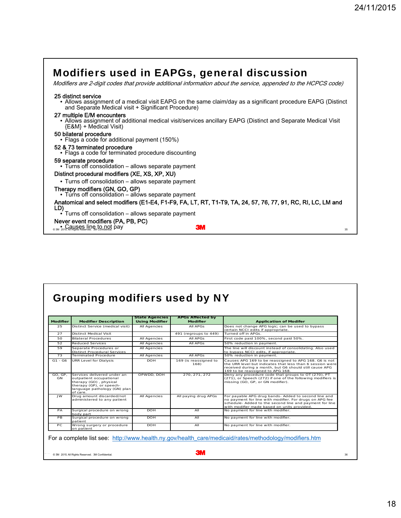| <b>Modifiers used in EAPGs, general discussion</b><br>Modifiers are 2-digit codes that provide additional information about the service, appended to the HCPCS code)                      |
|-------------------------------------------------------------------------------------------------------------------------------------------------------------------------------------------|
| 25 distinct service<br>• Allows assignment of a medical visit EAPG on the same claim/day as a significant procedure EAPG (Distinct<br>and Separate Medical visit + Significant Procedure) |
| 27 multiple E/M encounters<br>• Allows assignment of additional medical visit/services ancillary EAPG (Distinct and Separate Medical Visit<br>{E&M} + Medical Visit)                      |
| 50 bilateral procedure<br>• Flags a code for additional payment (150%)                                                                                                                    |
| 52 & 73 terminated procedure<br>• Flags a code for terminated procedure discounting                                                                                                       |
| 59 separate procedure<br>• Turns off consolidation – allows separate payment                                                                                                              |
| Distinct procedural modifiers (XE, XS, XP, XU)                                                                                                                                            |
| • Turns off consolidation – allows separate payment                                                                                                                                       |
| Therapy modifiers (GN, GO, GP)<br>• Turns off consolidation – allows separate payment                                                                                                     |
| Anatomical and select modifiers (E1-E4, F1-F9, FA, LT, RT, T1-T9, TA, 24, 57, 76, 77, 91, RC, RI, LC, LM and<br>LD)                                                                       |
| Turns off consolidation – allows separate payment                                                                                                                                         |
| Never event modifiers (PA, PB, PC)<br><b>O 3M 2015 AHUS RS LUDG, to not pay</b><br><b>3M</b><br>35                                                                                        |

|  | <b>Grouping modifiers used by NY</b> |  |  |  |
|--|--------------------------------------|--|--|--|
|--|--------------------------------------|--|--|--|

| <b>Modifier</b>      | <b>Modifier Description</b>                                                                                                                              | <b>State Agencies</b><br><b>Using Modifier</b> | <b>APGs Affected by</b><br><b>Modifier</b> | <b>Application of Modifer</b>                                                                                                                                                                                             |
|----------------------|----------------------------------------------------------------------------------------------------------------------------------------------------------|------------------------------------------------|--------------------------------------------|---------------------------------------------------------------------------------------------------------------------------------------------------------------------------------------------------------------------------|
| 25                   | Distinct Service (medical visit)                                                                                                                         | All Agencies                                   | All APGs                                   | Does not change APG logic; can be used to bypass<br>certain NCCI edits if appropriate.                                                                                                                                    |
| 27                   | <b>Distinct Medical Visit</b>                                                                                                                            |                                                | 491 (regroups to 449)                      | Turned off in APGs.                                                                                                                                                                                                       |
| 50                   | <b>Bilateral Procedures</b>                                                                                                                              | All Agencies                                   | All APGs                                   | First code paid 100%, second paid 50%.                                                                                                                                                                                    |
| 52                   | <b>Reduced Services</b>                                                                                                                                  | All Agencies                                   | All APGs                                   | 50% reduction in payment.                                                                                                                                                                                                 |
| 59                   | Separate Procedures or<br><b>Distinct Procedural Services</b>                                                                                            | All Agencies                                   |                                            | The line will discount instead of consolidating. Also used<br>to bypass NCCI edits, if appropriate.                                                                                                                       |
| 73                   | <b>Terminated Procedure</b>                                                                                                                              | All Agencies                                   | All APGs                                   | 50% reduction in payment.                                                                                                                                                                                                 |
| $G1 - G6$            | URR Level for Dialysis                                                                                                                                   | <b>DOH</b>                                     | 169 (is reassigned to<br>168)              | Causes APG 169 to be reassigned to APG 168. G6 is not<br>the URR level but indicates that less than 6 session were<br>received during a month, but G6 should still cause APG<br>169 to be reassigned to APG 168.          |
| GO. GP.<br><b>GN</b> | Services delivered under an<br>outpatient occupational<br>therapy (GO), physical<br>therapy (GP), or speech-<br>language pathology (GN) plan<br>of care. | OPWDD, DOH                                     | 270.271.272                                | Deny any procedure code that groups to OT (270), PT<br>(271), or Speech (272) if one of the following modifiers is<br>missing (GO, GP, or GN modifier).                                                                   |
| <b>JWL</b>           | Drug amount discarded/not<br>administered to any patient                                                                                                 | All Agencies                                   | All paving drug APGs                       | For payable APG drug bands- Added to second line and<br>no payment for line with modifier. For drugs on APG fee<br>schedule- Added to the second line and payment for line<br>with modifier made based on units provided. |
| PA                   | Surgical procedure on wrong<br>body part                                                                                                                 | <b>DOH</b>                                     | AII                                        | No payment for line with modifier.                                                                                                                                                                                        |
| PB                   | Surgical procedure on wrong<br>patient                                                                                                                   | <b>DOH</b>                                     | AII                                        | No payment for line with modifier.                                                                                                                                                                                        |
| PC.                  | Wrong surgery or procedure<br>on patient                                                                                                                 | <b>DOH</b>                                     | AII                                        | No payment for line with modifier.                                                                                                                                                                                        |

18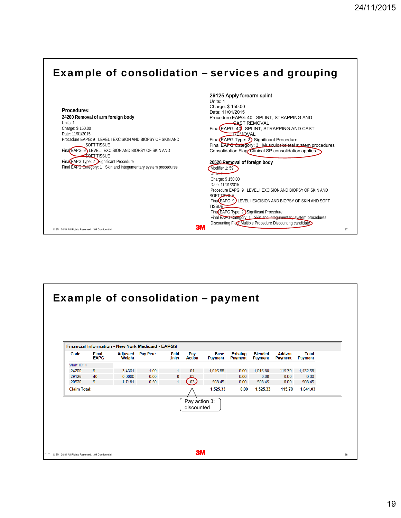

| <b>Final</b><br>Code | Adjusted      | Pay Perc. | <b>Financial Information - New York Medicaid - EAPGS</b><br>Paid | Pay           | <b>Base</b>    | <b>Existing</b> | <b>Blended</b> | Add-on         | <b>Total</b>   |
|----------------------|---------------|-----------|------------------------------------------------------------------|---------------|----------------|-----------------|----------------|----------------|----------------|
| <b>EAPG</b>          | <b>Weight</b> |           | <b>Units</b>                                                     | <b>Action</b> | <b>Payment</b> | <b>Payment</b>  | <b>Payment</b> | <b>Payment</b> | <b>Payment</b> |
| Visit ID: 1          |               |           |                                                                  |               |                |                 |                |                |                |
| 24200<br>9           | 3.4361        | 1.00      |                                                                  | 01            | 1,016.88       | 0.00            | 1,016.88       | 115.70         | 1,132.58       |
| 29125<br>40          | 0.0000        | 0.00      | 0                                                                |               |                | 0.00            | 0.00           | 0.00           | 0.00           |
| 20520<br>9           | 1.7181        | 0.50      | $\mathbf{1}$                                                     | $\bigcirc$    | 508.45         | 0.00            | 508.45         | 0.00           | 508.45         |
| <b>Claim Total:</b>  |               |           |                                                                  |               | 1,525.33       | 0.00            | 1,525.33       | 115.70         | 1,641.03       |
|                      |               |           |                                                                  |               |                |                 |                |                |                |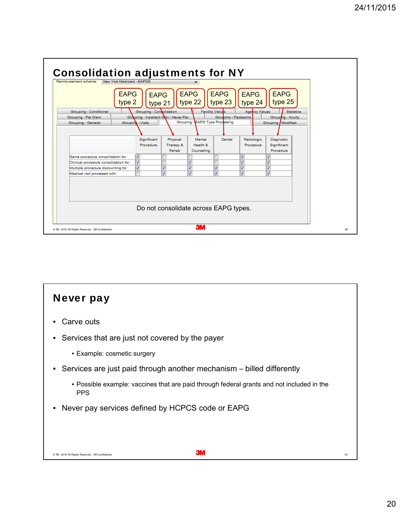

## 24 November 2015 © 3M 3M Confidential. . All Rights Reserved. 40 Never pay Carve outs • Services that are just not covered by the payer • Example: cosmetic surgery • Services are just paid through another mechanism – billed differently • Possible example: vaccines that are paid through federal grants and not included in the PPS • Never pay services defined by HCPCS code or EAPG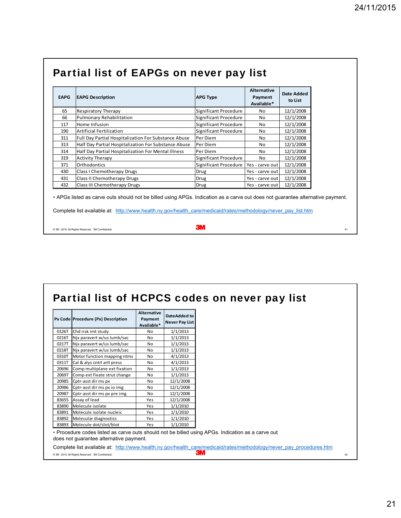| Partial list of EAPGs on never pay list |
|-----------------------------------------|
|-----------------------------------------|

| <b>EAPG</b> | <b>EAPG Description</b>                              | <b>APG Type</b>       | Alternative<br>Payment<br>Available* | <b>Date Added</b><br>to List |
|-------------|------------------------------------------------------|-----------------------|--------------------------------------|------------------------------|
| 65          | <b>Respiratory Therapy</b>                           | Significant Procedure | No                                   | 12/1/2008                    |
| 66          | <b>Pulmonary Rehabilitation</b>                      | Significant Procedure | No                                   | 12/1/2008                    |
| 117         | Home Infusion                                        | Significant Procedure | No                                   | 12/1/2008                    |
| 190         | <b>Artificial Fertilization</b>                      | Significant Procedure | No                                   | 12/1/2008                    |
| 311         | Full Day Partial Hospitalization For Substance Abuse | Per Diem              | No                                   | 12/1/2008                    |
| 313         | Half Day Partial Hospitalization For Substance Abuse | Per Diem              | No.                                  | 12/1/2008                    |
| 314         | Half Day Partial Hospitalization For Mental Illness  | Per Diem              | No                                   | 12/1/2008                    |
| 319         | <b>Activity Therapy</b>                              | Significant Procedure | No                                   | 12/1/2008                    |
| 371         | Orthodontics                                         | Significant Procedure | Yes - carve out                      | 12/1/2008                    |
| 430         | Class I Chemotherapy Drugs                           | <b>Drug</b>           | Yes - carve out                      | 12/1/2008                    |
| 431         | Class II Chemotherapy Drugs                          | Drug                  | Yes - carve out l                    | 12/1/2008                    |
| 432         | Class III Chemotherapy Drugs                         | Drug                  | Yes - carve out                      | 12/1/2008                    |

∗ APGs listed as carve outs should not be billed using APGs. Indication as a carve out does not guarantee alternative payment.

Complete list available at: http://www.health.ny.gov/health\_care/medicaid/rates/methodology/never\_pay\_list.htm

| ЭШ<br>C 3M 2015. All Rights Reserved. 3M Confidential. |  |
|--------------------------------------------------------|--|
|--------------------------------------------------------|--|

| 0126T<br>Chd risk imt study<br>1/1/2013<br>No<br>1/1/2013<br>0216T<br>Nix paravert w/us lumb/sac<br>No<br>Nix paravert w/us lumb/sac<br>1/1/2013<br>0217T<br>No<br>Nix paravert w/us lumb/sac<br>1/1/2013<br>0218T<br>N <sub>0</sub><br>Motor function mapping ntms<br>4/1/2013<br>0310T<br>No<br>Cal & alys cntrl artl press<br>4/1/2013<br>0311T<br>No<br>20696<br>Comp multiplane ext fixation<br>1/1/2013<br>N <sub>0</sub><br>20697<br>Comp ext fixate strut change<br>1/1/2013<br>No |
|--------------------------------------------------------------------------------------------------------------------------------------------------------------------------------------------------------------------------------------------------------------------------------------------------------------------------------------------------------------------------------------------------------------------------------------------------------------------------------------------|
|                                                                                                                                                                                                                                                                                                                                                                                                                                                                                            |
|                                                                                                                                                                                                                                                                                                                                                                                                                                                                                            |
|                                                                                                                                                                                                                                                                                                                                                                                                                                                                                            |
|                                                                                                                                                                                                                                                                                                                                                                                                                                                                                            |
|                                                                                                                                                                                                                                                                                                                                                                                                                                                                                            |
|                                                                                                                                                                                                                                                                                                                                                                                                                                                                                            |
|                                                                                                                                                                                                                                                                                                                                                                                                                                                                                            |
|                                                                                                                                                                                                                                                                                                                                                                                                                                                                                            |
| Cptr-asst dirms px<br>20985<br>12/1/2008<br>No                                                                                                                                                                                                                                                                                                                                                                                                                                             |
| 12/1/2008<br>20986<br>Cptr-asst dirms px io img<br>No                                                                                                                                                                                                                                                                                                                                                                                                                                      |
| 20987<br>12/1/2008<br>Cptr-asst dirms px pre img<br>No                                                                                                                                                                                                                                                                                                                                                                                                                                     |
| 83655<br>Assay of lead<br>12/1/2008<br>Yes                                                                                                                                                                                                                                                                                                                                                                                                                                                 |
| 83890<br>Molecule isolate<br>1/1/2010<br>Yes                                                                                                                                                                                                                                                                                                                                                                                                                                               |
| Molecule isolate nucleic<br>1/1/2010<br>83891<br>Yes                                                                                                                                                                                                                                                                                                                                                                                                                                       |
| 83892<br>Molecular diagnostics<br>1/1/2010<br>Yes                                                                                                                                                                                                                                                                                                                                                                                                                                          |
| 83893 Molecule dot/slot/blot<br>1/1/2010<br>Yes                                                                                                                                                                                                                                                                                                                                                                                                                                            |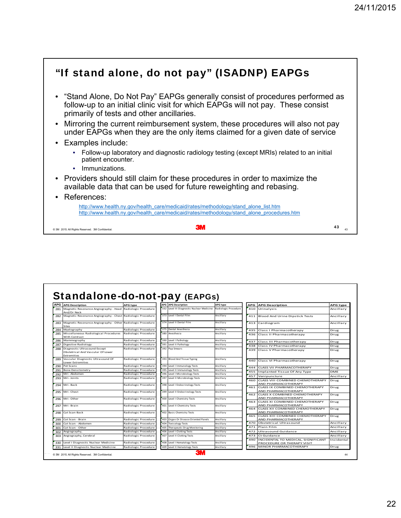#### $\circ$  3M 2015 All Rights Reserved. 3M Confidential.  $\cdot$  . All Rights Reserved. 3M Confidential. "If stand alone, do not pay" (ISADNP) EAPGs • "Stand Alone, Do Not Pay" EAPGs generally consist of procedures performed as follow-up to an initial clinic visit for which EAPGs will not pay. These consist primarily of tests and other ancillaries. • Mirroring the current reimbursement system, these procedures will also not pay under EAPGs when they are the only items claimed for a given date of service • Examples include: • Follow-up laboratory and diagnostic radiology testing (except MRIs) related to an initial patient encounter. • Immunizations. • Providers should still claim for these procedures in order to maximize the available data that can be used for future reweighting and rebasing. • References: http://www.health.ny.gov/health\_care/medicaid/rates/methodology/stand\_alone\_list.htm http://www.health.ny.gov/health\_care/medicaid/rates/methodology/stand\_alone\_procedures.htm 43

| <b>APG</b> | Standalone-do-not-pay (EAPGs)                                                                       |                      | <b>APG</b> APG Description                |                                         |            |                                                             |                              |
|------------|-----------------------------------------------------------------------------------------------------|----------------------|-------------------------------------------|-----------------------------------------|------------|-------------------------------------------------------------|------------------------------|
| 281        | <b>APG Description</b><br>Magnetic Resonance Angiography - Head Radiologic Procedure<br>And/Or Neck | <b>APG type</b>      | 332 Level III Diagnostic Nuclear Medicine | <b>APG type</b><br>Radiologic Procedure |            | <b>APG</b> APG Description<br>410 Urinalysis                | <b>APG type</b><br>Ancillary |
| 282        | Magnetic Resonance Angiography - Chest Radiologic Procedure                                         |                      | 373 Level   Dental Film                   | Ancillary                               | 411        | Blood And Urine Dipstick Tests                              | Ancillary                    |
| 283        | Magnetic Resonance Angiography - Other Radiologic Procedure<br>Sites                                |                      | 374 Level II Dental Film                  | Ancillarv                               |            | 413 Cardiogram                                              | Ancillary                    |
| 284        | Myelography                                                                                         | Radiologic Procedure | 375 Dental Anesthesia                     | Ancillary                               |            | 435 Class I Pharmacotherapy                                 | Drug                         |
| 285        | Miscellaneous Radiological Procedures<br>With Contrast                                              | Radiologic Procedure | 380 Anesthesia                            | Ancillary                               |            | 436 Class II Pharmacotherapy                                | Drug                         |
| 286        | Mammography                                                                                         | Radiologic Procedure | 390 Level I Pathology                     | Ancillary                               | 437        | Class III Pharmacotherapy                                   | Drug                         |
| 287        | Digestive Radiology                                                                                 | Radiologic Procedure | 391 Level II Pathology                    | Ancillary                               | 438        | Class IV Pharmacotherapy                                    | Drug                         |
| 288        | Diagnostic Ultrasound Except<br>Obstetrical And Vascular Of Lower<br><b>Extremities</b>             | Radiologic Procedure | 392 Pap Smears                            | Ancillary                               | 439        | Class V Pharmacotherapy                                     | Drug                         |
| 289        | Vascular Diagnostic Ultrasound Of<br>Lower Extremities                                              | Radiologic Procedure | 393 Blood And Tissue Typing               | Ancillary                               | 440        | Class VI Pharmacotherapy                                    | Drug                         |
| 290        | Pet Scans                                                                                           | Radiologic Procedure | 394 Level I Immunology Tests              | Ancillary                               | 444        | <b>CLASS VII PHARMACOTHERAPY</b>                            | Drug                         |
| 291        | <b>Bone Densitometry</b>                                                                            | Radiologic Procedure | 395 Level II Immunology Tests             | Ancillary                               | 455        | Implanted Tissue Of Any Type                                | DME                          |
| 292        | Mri-Abdomen                                                                                         | Radiologic Procedure | 396 Level   Microbiology Tests            | Ancillary                               | 457        | Venipuncture                                                | Ancillary                    |
| 293        | Mri-Joints                                                                                          | Radiologic Procedure | 397 Level II Microbiology Tests           | Ancillary                               | 460        | CLASS VIII COMBINED CHEMOTHERAPY                            | Drug                         |
| 294        | Mri-Back                                                                                            | Radiologic Procedure | 398 Level I Endocrinology Tests           | Ancillary                               |            | AND PHARMACOTHERAPY<br>461 CLASS IX COMBINED CHEMOTHERAPY   | Drug                         |
| 295        | Mri-Chest                                                                                           | Radiologic Procedure | 399 Level II Endocrinology Tests          | Ancillary                               |            | AND PHARMACOTHERAPY<br>462 CLASS X COMBINED CHEMOTHERAPY    | Drug                         |
| 296        | Mri-Other                                                                                           | Radiologic Procedure | 400 Level   Chemistry Tests               | Ancillary                               |            | AND PHARMACOTHERAPY<br>463 CLASS XI COMBINED CHEMOTHERAPY   | Drug                         |
| 297        | Mri-Brain                                                                                           | Radiologic Procedure | 401 Level II Chemistry Tests              | Ancillary                               |            | AND PHARMACOTHERAPY<br>464 CLASS XII COMBINED CHEMOTHERAPY  | Drug                         |
| 298        | Cat Scan Back                                                                                       | Radiologic Procedure | 402 Basic Chemistry Tests                 | Ancillary                               |            | AND PHARMACOTHERAPY<br>465 CLASS XIII COMBINED CHEMOTHERAPY | Drug                         |
| 299        | Cat Scan - Brain                                                                                    | Radiologic Procedure | 403 Organ Or Disease Oriented Panels      | Ancillary                               |            | AND PHARMACOTHERAPY                                         |                              |
| 300        | Cat Scan - Abdomen                                                                                  | Radiologic Procedure | 404 Toxicology Tests                      | Ancillary                               | 470        | Obstetrical Ultrasound                                      | Ancillary                    |
| 301        | Cat Scan - Other                                                                                    | Radiologic Procedure | 405 Therapeutic Drug Monitoring           | Ancillary                               | 471        | Plain Film                                                  | Ancillary                    |
| 302        | Angiography,                                                                                        | Radiologic Procedure | 406 Level I Clotting Tests                | Ancillary                               | 472        | Ultrasound Guidance                                         | Ancillary                    |
| 303        | Angiography, Cerebral                                                                               | Radiologic Procedure | 407 Level II Clotting Tests               | Ancillary                               | 473<br>490 | Ct Guidance<br>INCIDENTAL TO MEDICAL, SIGNIFICANT           | Ancillary<br>Incidental      |
| 330        | Level I Diagnostic Nuclear Medicine                                                                 | Radiologic Procedure | 408 Level I Hematology Tests              | Ancillary                               |            | PROCEDURE OR THERAPY VISIT                                  |                              |
| 331        | Level II Diagnostic Nuclear Medicine                                                                | Radiologic Procedure | 409 Level II Hematology Tests             | Ancillary                               |            | 496 MINOR PHARMACOTHERAPY                                   | Drug                         |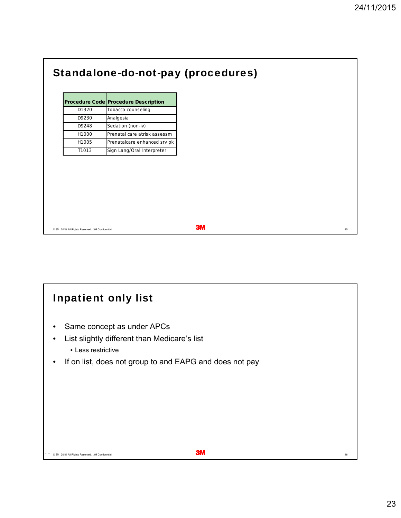|                                                  | <b>Standalone-do-not-pay (procedures)</b>   |
|--------------------------------------------------|---------------------------------------------|
|                                                  |                                             |
|                                                  | <b>Procedure Code Procedure Description</b> |
| D1320                                            | Tobacco counseling                          |
| D9230                                            | Analgesia                                   |
| D9248                                            | Sedation (non-iv)                           |
| H1000                                            | Prenatal care atrisk assessm                |
| H1005                                            | Prenatalcare enhanced srv pk                |
| T1013                                            | Sign Lang/Oral Interpreter                  |
|                                                  |                                             |
|                                                  |                                             |
|                                                  |                                             |
|                                                  |                                             |
|                                                  |                                             |
|                                                  |                                             |
|                                                  |                                             |
|                                                  |                                             |
|                                                  |                                             |
| C 3M 2015. All Rights Reserved. 3M Confidential. |                                             |

## $\bullet$  3M 2015. All Rights Reserved. 3M Confidential.  $^{46}$ Inpatient only list • Same concept as under APCs • List slightly different than Medicare's list • Less restrictive • If on list, does not group to and EAPG and does not pay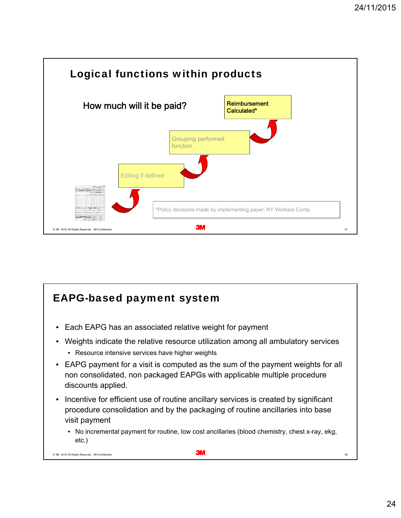

#### EAPG-based payment system

- Each EAPG has an associated relative weight for payment
- Weights indicate the relative resource utilization among all ambulatory services
	- Resource intensive services have higher weights
- EAPG payment for a visit is computed as the sum of the payment weights for all non consolidated, non packaged EAPGs with applicable multiple procedure discounts applied.
- Incentive for efficient use of routine ancillary services is created by significant procedure consolidation and by the packaging of routine ancillaries into base visit payment
	- No incremental payment for routine, low cost ancillaries (blood chemistry, chest x-ray, ekg, etc.)

© 3M 2015 All Rights Reserved. 3M Confidential. 48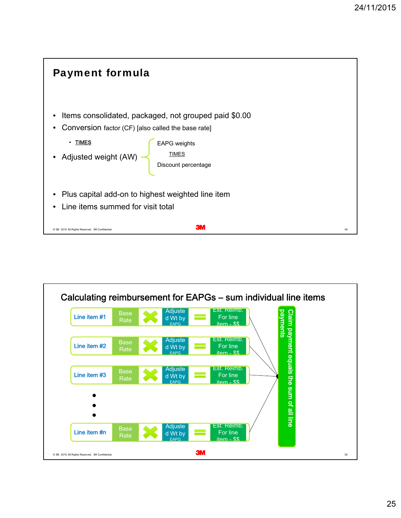

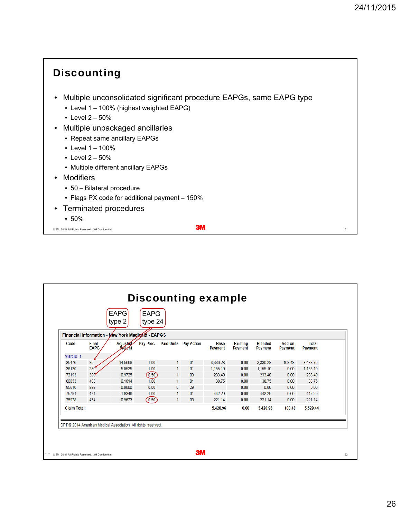

|                     |                      | <b>EAPG</b><br>type 2                                         | <b>EAPG</b><br>type 24 |    |                              |                        |                                   |                                  |                   |                         |
|---------------------|----------------------|---------------------------------------------------------------|------------------------|----|------------------------------|------------------------|-----------------------------------|----------------------------------|-------------------|-------------------------|
|                     |                      | Financial Information - New York Medicard - EAPGS             |                        |    |                              |                        |                                   |                                  |                   |                         |
| Code                | Final<br><b>EAPG</b> | Adjusted<br><b>Weight</b>                                     | Pay Perc.              |    | <b>Paid Units Pay Action</b> | <b>Base</b><br>Payment | <b>Existing</b><br><b>Payment</b> | <b>Blended</b><br><b>Payment</b> | Add-on<br>Payment | <b>Total</b><br>Payment |
| Visit ID: 1         |                      |                                                               |                        |    |                              |                        |                                   |                                  |                   |                         |
| 35476               | 85                   | 14.5669                                                       | 1.00                   |    | 01                           | 3,330.28               | 0.00                              | 3,330.28                         | 108.48            | 3,438.76                |
| 36120               | 280                  | 5.0525                                                        | 1.00                   |    | 01                           | 1,155.10               | 0.00                              | 1,155.10                         | 0.00              | 1,155.10                |
| 72193               | 300 <sup>4</sup>     | 0.9725                                                        | (0.50)                 |    | 03                           | 233.40                 | 0.00                              | 233.40                           | 0.00              | 233.40                  |
| 80053               | 403                  | 0.1614                                                        | 1.00                   |    | 01                           | 38.75                  | 0.00                              | 38.75                            | 0.00              | 38.75                   |
| 85610               | 999                  | 0.0000                                                        | 0.00                   | 0  | 29                           |                        | 0.00                              | 0.00                             | 0.00              | 0.00                    |
| 75791               | 474                  | 1.9346                                                        | 1.00                   | 1. | 01                           | 442.29                 | 0.00                              | 442.29                           | 0.00              | 442.29                  |
| 75978               | 474                  | 0.9673                                                        | (0.50)                 | 1. | 03                           | 221.14                 | 0.00                              | 221.14                           | 0.00              | 221.14                  |
| <b>Claim Total:</b> |                      |                                                               |                        |    |                              | 5,420.96               | 0.00                              | 5,420.96                         | 108.48            | 5,529.44                |
|                     |                      |                                                               |                        |    |                              |                        |                                   |                                  |                   |                         |
|                     |                      | CPT @ 2014 American Medical Association. All rights reserved. |                        |    |                              |                        |                                   |                                  |                   |                         |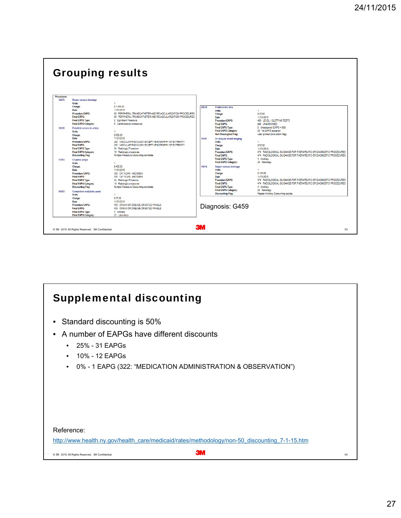

#### Supplemental discounting

- Standard discounting is 50%
- A number of EAPGs have different discounts
	- 25% 31 EAPGs
	- 10% 12 EAPGs
	- 0% 1 EAPG (322: "MEDICATION ADMINISTRATION & OBSERVATION")

#### Reference:

http://www.health.ny.gov/health\_care/medicaid/rates/methodology/non-50\_discounting\_7-1-15.htm

24 November 2015 © 3M 3M Confidential. . All Rights Reserved. 54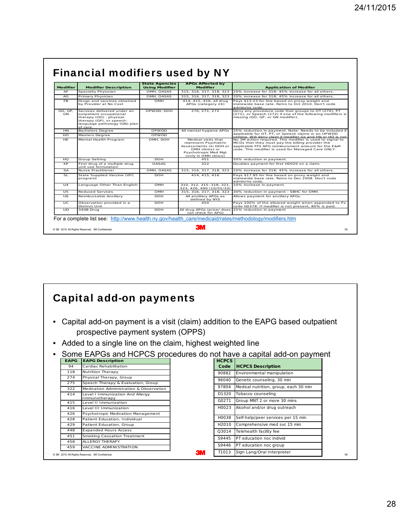| <b>Modifier</b> | <b>Modifier Description</b>                                                                                                                              | <b>State Agencies</b><br><b>Using Modifier</b> | <b>APGs Affected by</b><br><b>Modifier</b>                                                                                                 | <b>Application of Modifer</b>                                                                                                                                                                                             |
|-----------------|----------------------------------------------------------------------------------------------------------------------------------------------------------|------------------------------------------------|--------------------------------------------------------------------------------------------------------------------------------------------|---------------------------------------------------------------------------------------------------------------------------------------------------------------------------------------------------------------------------|
| AF              | Specialty Physician                                                                                                                                      | OMH. OASAS                                     | 315. 316. 317. 318. 323                                                                                                                    | 20% increase for 318: 45% increase for all others.                                                                                                                                                                        |
| AG              | Primary Physician                                                                                                                                        | OMH. OASAS                                     | 315, 316, 317, 318, 323                                                                                                                    | 20% increase for 318: 45% increase for all others.                                                                                                                                                                        |
| FB.             | Drugs and vaccines obtained<br>OMH<br>by Provider at No Cost                                                                                             |                                                | 414, 415, 416, all drug<br>APGs (category 24)                                                                                              | Pays \$13.23 for line based on proxy weight and<br>statewide base rate. Retro to Oct 2010. Don't code<br>admin/ini code.                                                                                                  |
| GO. GP.<br>GN   | Services delivered under an<br>outpatient occupational<br>therapy (GO), physical<br>therapy (GP), or speech-<br>language pathology (GN) plan<br>of care. | OPWDD, DOH                                     | 270, 271, 272                                                                                                                              | Deny any procedure code that groups to OT (270), PT<br>(271), or Speech (272) if one of the following modifiers is<br>missing (GO, GP, or GN modifier).                                                                   |
| <b>HN</b>       | <b>Bachelors Degree</b>                                                                                                                                  | <b>OPWDD</b>                                   | All mental hygiene APGs                                                                                                                    | 25% reduction in payment. Note: Needs to be included if                                                                                                                                                                   |
| HO              | Masters Degree                                                                                                                                           | OPWDD                                          |                                                                                                                                            | applicable for OT, PT, or Speech claims in an OPWDD<br>setting. Will deny claim if modifier Gy and HN or HO is not                                                                                                        |
| <b>HF</b>       | Mental Health Program                                                                                                                                    | OMH, DOH                                       | Medical visits that<br>represent Psychiatric<br>Assessments (in DOH or<br>OMH clinics) or<br>Psychotropic Med Mgt<br>(only in OMH clinics) | No 3M action required. This modifier is used to signal to<br>MCOs that they must pay the billing provider the<br>applicable FFS APG reimbursment amount for the E&M<br>code. This modifier is used for Managed Care ONLY. |
| H <sub>O</sub>  | Group Setting                                                                                                                                            | <b>DOH</b>                                     | 451                                                                                                                                        | 50% reduction in payment.                                                                                                                                                                                                 |
| <b>KP</b>       | First drug of a multiple drug<br>unit use formulation                                                                                                    | <b>OASAS</b>                                   | 322                                                                                                                                        | Doubles payment for first H0020 on a claim.                                                                                                                                                                               |
| <b>SA</b>       | Nurse Practitioner                                                                                                                                       | OMH, OASAS                                     | 315, 316, 317, 318, 323                                                                                                                    | 20% increase for 318: 45% increase for all others.                                                                                                                                                                        |
| SL              | State Supplied Vaccine (VFC<br>program)                                                                                                                  | <b>DOH</b>                                     | 414.415.416                                                                                                                                | Pays \$17.85 for line based on proxy weight and<br>statewide base rate. Retro to Dec 2008. Don't code<br>admin/ini code.                                                                                                  |
| 114             | Language Other Than English                                                                                                                              | OMH                                            | 310. 312. 315-318. 321.<br>323, 426, 490 (10/01/10)                                                                                        | 10% increase in payment.                                                                                                                                                                                                  |
| 115             | Reduced Services                                                                                                                                         | OMH                                            | 315, 316, 317, 318, 323                                                                                                                    | 30% reduction in payment - SBHC for OMH.                                                                                                                                                                                  |
| 116             | Reimbursable Ancillary                                                                                                                                   | <b>DOH</b>                                     | All ancillary APGs as<br>defined by NYS                                                                                                    | Allows payment for ancillary APGs.                                                                                                                                                                                        |
| UC.             | Observation provided in a<br>Distinct Unit                                                                                                               | <b>DOH</b>                                     | 450                                                                                                                                        | Pays 100% of the allowed weight when appended to Px<br>code G0378. If modifier is not present, 80% is paid.                                                                                                               |
| UD              | 340B Drug                                                                                                                                                | <b>DOH</b>                                     | not check for APG)                                                                                                                         | All drug APGs (pricer does 25% reduction in payment                                                                                                                                                                       |

#### Capital add-on payments

- Capital add-on payment is a visit (claim) addition to the EAPG based outpatient prospective payment system (OPPS)
- Added to a single line on the claim, highest weighted line
- Some EAPGs and HCPCS procedures do not have a capital add-on payment

| <b>EAPG</b> | <b>EAPG Description</b>                          | <b>HCPCS</b>       |                                       |
|-------------|--------------------------------------------------|--------------------|---------------------------------------|
| 94          | Cardiac Rehabilitation                           | Code               | <b>HCPCS Description</b>              |
| 118         | <b>Nutrition Therapy</b>                         | 90882              | Environmental manipulation            |
| 274         | Physical Therapy, Group                          | 96040              | Genetic counseling, 30 min            |
| 275         | Speech Therapy & Evaluation, Group               |                    |                                       |
| 322         | Medication Administration & Observation          | 97804              | Medical nutrition, group, each 30 min |
| 414         | Level I Immunization And Allergy                 | D1320              | Tobacco counseling                    |
| 415         | Immunotherapy<br>Level II Immunization           | G0271              | Group MNT 2 or more 30 mins           |
| 416         | Level III Immunization                           | H0023              | Alcohol and/or drug outreach          |
| 426         | Psychotropic Medication Management               |                    |                                       |
| 428         | Patient Education, Individual                    | H0038              | Self-help/peer services per 15 min    |
| 429         | Patient Education, Group                         | H2010              | Comprehensive med svc 15 min          |
| 448         | <b>Expanded Hours Access</b>                     | Q3014              | Telehealth facility fee               |
| 451         | Smoking Cessation Treatment                      | S9445              | PT education noc individ              |
| 458         | ALLERGY THERAPY                                  |                    |                                       |
| 459         | VACCINE ADMINISTRATION                           | S9446              | PT education noc group                |
|             | © 3M 2015. All Rights Reserved. 3M Confidential. | <b>3M</b><br>T1013 | Sign Lang/Oral Interpreter            |
|             |                                                  |                    |                                       |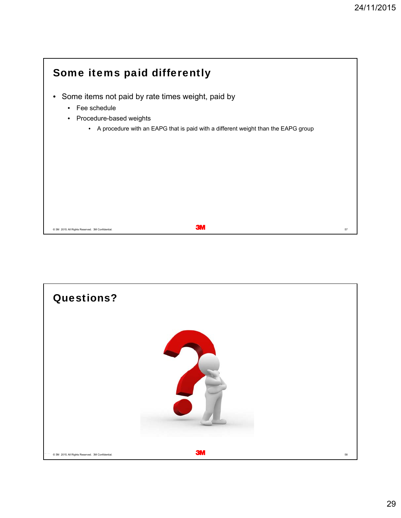